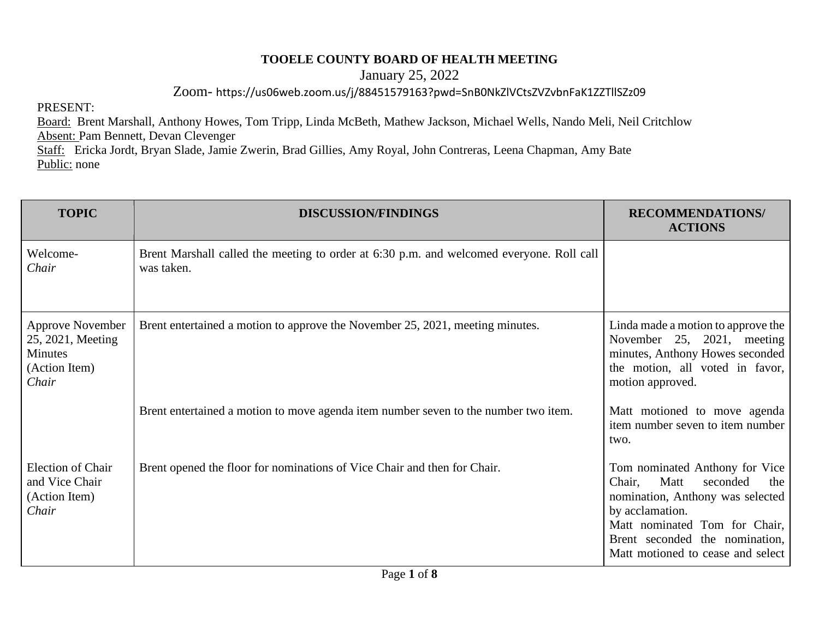## **TOOELE COUNTY BOARD OF HEALTH MEETING**

January 25, 2022

Zoom- https://us06web.zoom.us/j/88451579163?pwd=SnB0NkZlVCtsZVZvbnFaK1ZZTllSZz09

PRESENT:

Board: Brent Marshall, Anthony Howes, Tom Tripp, Linda McBeth, Mathew Jackson, Michael Wells, Nando Meli, Neil Critchlow Absent: Pam Bennett, Devan Clevenger Staff: Ericka Jordt, Bryan Slade, Jamie Zwerin, Brad Gillies, Amy Royal, John Contreras, Leena Chapman, Amy Bate

Public: none

| <b>TOPIC</b>                                                                      | <b>DISCUSSION/FINDINGS</b>                                                                             | <b>RECOMMENDATIONS/</b><br><b>ACTIONS</b>                                                                                                                                                                                          |
|-----------------------------------------------------------------------------------|--------------------------------------------------------------------------------------------------------|------------------------------------------------------------------------------------------------------------------------------------------------------------------------------------------------------------------------------------|
| Welcome-<br>Chair                                                                 | Brent Marshall called the meeting to order at 6:30 p.m. and welcomed everyone. Roll call<br>was taken. |                                                                                                                                                                                                                                    |
| <b>Approve November</b><br>25, 2021, Meeting<br>Minutes<br>(Action Item)<br>Chair | Brent entertained a motion to approve the November 25, 2021, meeting minutes.                          | Linda made a motion to approve the<br>November 25, 2021, meeting<br>minutes, Anthony Howes seconded<br>the motion, all voted in favor,<br>motion approved.                                                                         |
|                                                                                   | Brent entertained a motion to move agenda item number seven to the number two item.                    | Matt motioned to move agenda<br>item number seven to item number<br>two.                                                                                                                                                           |
| <b>Election of Chair</b><br>and Vice Chair<br>(Action Item)<br>Chair              | Brent opened the floor for nominations of Vice Chair and then for Chair.                               | Tom nominated Anthony for Vice<br>Matt<br>seconded<br>Chair,<br>the<br>nomination, Anthony was selected<br>by acclamation.<br>Matt nominated Tom for Chair,<br>Brent seconded the nomination,<br>Matt motioned to cease and select |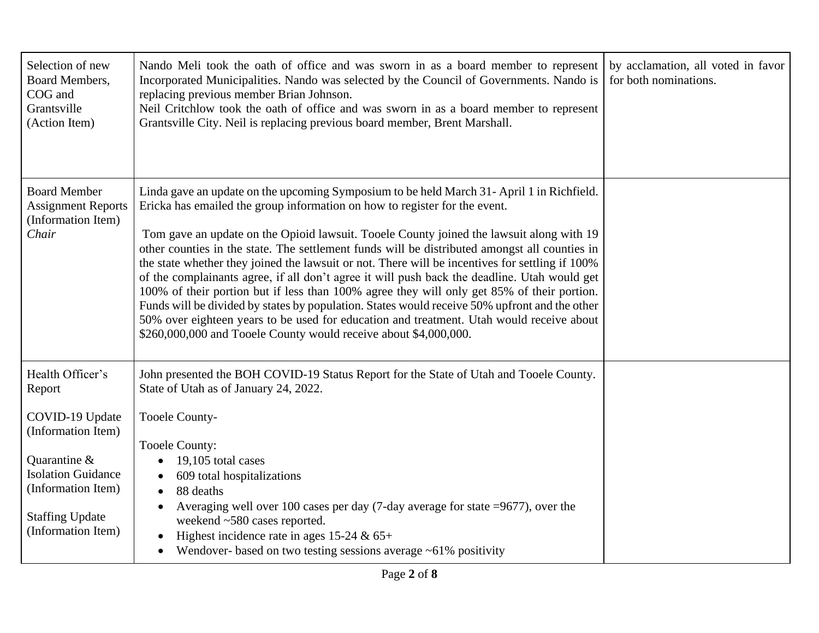| Selection of new<br>Board Members,<br>COG and<br>Grantsville<br>(Action Item)                                                                            | Nando Meli took the oath of office and was sworn in as a board member to represent<br>Incorporated Municipalities. Nando was selected by the Council of Governments. Nando is<br>replacing previous member Brian Johnson.<br>Neil Critchlow took the oath of office and was sworn in as a board member to represent<br>Grantsville City. Neil is replacing previous board member, Brent Marshall.                                                                                                                                                                                                                                                                                                                                                                                                                                                                                                                                       | by acclamation, all voted in favor<br>for both nominations. |
|----------------------------------------------------------------------------------------------------------------------------------------------------------|-----------------------------------------------------------------------------------------------------------------------------------------------------------------------------------------------------------------------------------------------------------------------------------------------------------------------------------------------------------------------------------------------------------------------------------------------------------------------------------------------------------------------------------------------------------------------------------------------------------------------------------------------------------------------------------------------------------------------------------------------------------------------------------------------------------------------------------------------------------------------------------------------------------------------------------------|-------------------------------------------------------------|
| <b>Board Member</b><br><b>Assignment Reports</b><br>(Information Item)<br>Chair                                                                          | Linda gave an update on the upcoming Symposium to be held March 31 - April 1 in Richfield.<br>Ericka has emailed the group information on how to register for the event.<br>Tom gave an update on the Opioid lawsuit. Tooele County joined the lawsuit along with 19<br>other counties in the state. The settlement funds will be distributed amongst all counties in<br>the state whether they joined the lawsuit or not. There will be incentives for settling if 100%<br>of the complainants agree, if all don't agree it will push back the deadline. Utah would get<br>100% of their portion but if less than 100% agree they will only get 85% of their portion.<br>Funds will be divided by states by population. States would receive 50% upfront and the other<br>50% over eighteen years to be used for education and treatment. Utah would receive about<br>\$260,000,000 and Tooele County would receive about \$4,000,000. |                                                             |
| Health Officer's<br>Report                                                                                                                               | John presented the BOH COVID-19 Status Report for the State of Utah and Tooele County.<br>State of Utah as of January 24, 2022.                                                                                                                                                                                                                                                                                                                                                                                                                                                                                                                                                                                                                                                                                                                                                                                                         |                                                             |
| COVID-19 Update<br>(Information Item)<br>Quarantine &<br><b>Isolation Guidance</b><br>(Information Item)<br><b>Staffing Update</b><br>(Information Item) | Tooele County-<br><b>Tooele County:</b><br>19,105 total cases<br>609 total hospitalizations<br>88 deaths<br>$\bullet$<br>Averaging well over 100 cases per day (7-day average for state $=9677$ ), over the<br>weekend ~580 cases reported.<br>Highest incidence rate in ages 15-24 & $65+$<br>Wendover- based on two testing sessions average $\sim 61\%$ positivity                                                                                                                                                                                                                                                                                                                                                                                                                                                                                                                                                                   |                                                             |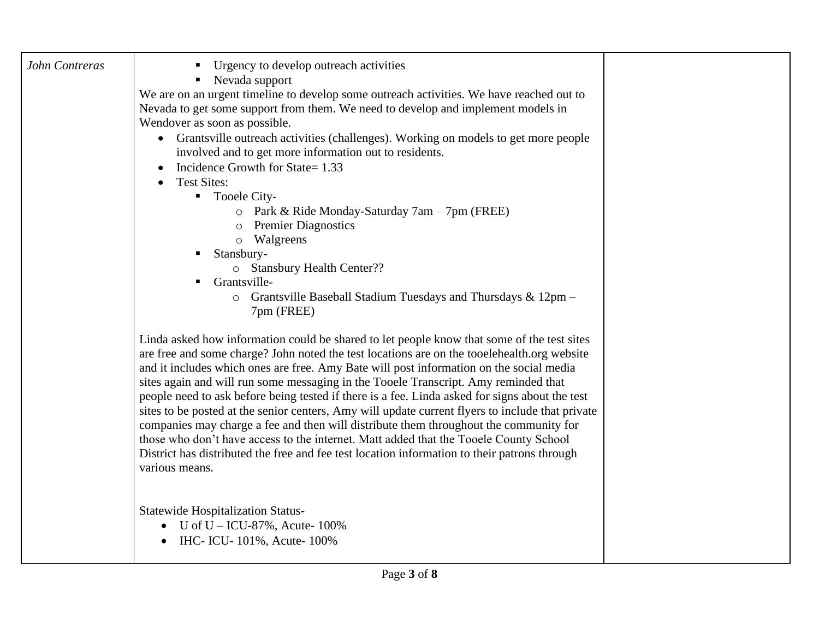| John Contreras | Urgency to develop outreach activities<br>Nevada support<br>We are on an urgent timeline to develop some outreach activities. We have reached out to<br>Nevada to get some support from them. We need to develop and implement models in<br>Wendover as soon as possible.<br>• Grantsville outreach activities (challenges). Working on models to get more people<br>involved and to get more information out to residents.<br>Incidence Growth for State= 1.33<br><b>Test Sites:</b><br>$\bullet$<br>• Tooele City-<br>o Park & Ride Monday-Saturday $7am - 7pm$ (FREE)<br>o Premier Diagnostics<br>o Walgreens<br>Stansbury-<br>o Stansbury Health Center??<br>Grantsville-<br>Grantsville Baseball Stadium Tuesdays and Thursdays & 12pm -<br>$\circ$<br>7pm (FREE)<br>Linda asked how information could be shared to let people know that some of the test sites<br>are free and some charge? John noted the test locations are on the tooelehealth.org website<br>and it includes which ones are free. Amy Bate will post information on the social media<br>sites again and will run some messaging in the Tooele Transcript. Amy reminded that<br>people need to ask before being tested if there is a fee. Linda asked for signs about the test<br>sites to be posted at the senior centers, Amy will update current flyers to include that private<br>companies may charge a fee and then will distribute them throughout the community for<br>those who don't have access to the internet. Matt added that the Tooele County School<br>District has distributed the free and fee test location information to their patrons through<br>various means.<br>Statewide Hospitalization Status-<br>U of $U - ICU - 87\%$ , Acute-100%<br>IHC- ICU-101%, Acute-100% |  |
|----------------|-------------------------------------------------------------------------------------------------------------------------------------------------------------------------------------------------------------------------------------------------------------------------------------------------------------------------------------------------------------------------------------------------------------------------------------------------------------------------------------------------------------------------------------------------------------------------------------------------------------------------------------------------------------------------------------------------------------------------------------------------------------------------------------------------------------------------------------------------------------------------------------------------------------------------------------------------------------------------------------------------------------------------------------------------------------------------------------------------------------------------------------------------------------------------------------------------------------------------------------------------------------------------------------------------------------------------------------------------------------------------------------------------------------------------------------------------------------------------------------------------------------------------------------------------------------------------------------------------------------------------------------------------------------------------------------------------------------------------------------------------------------------------|--|
|                |                                                                                                                                                                                                                                                                                                                                                                                                                                                                                                                                                                                                                                                                                                                                                                                                                                                                                                                                                                                                                                                                                                                                                                                                                                                                                                                                                                                                                                                                                                                                                                                                                                                                                                                                                                         |  |
|                |                                                                                                                                                                                                                                                                                                                                                                                                                                                                                                                                                                                                                                                                                                                                                                                                                                                                                                                                                                                                                                                                                                                                                                                                                                                                                                                                                                                                                                                                                                                                                                                                                                                                                                                                                                         |  |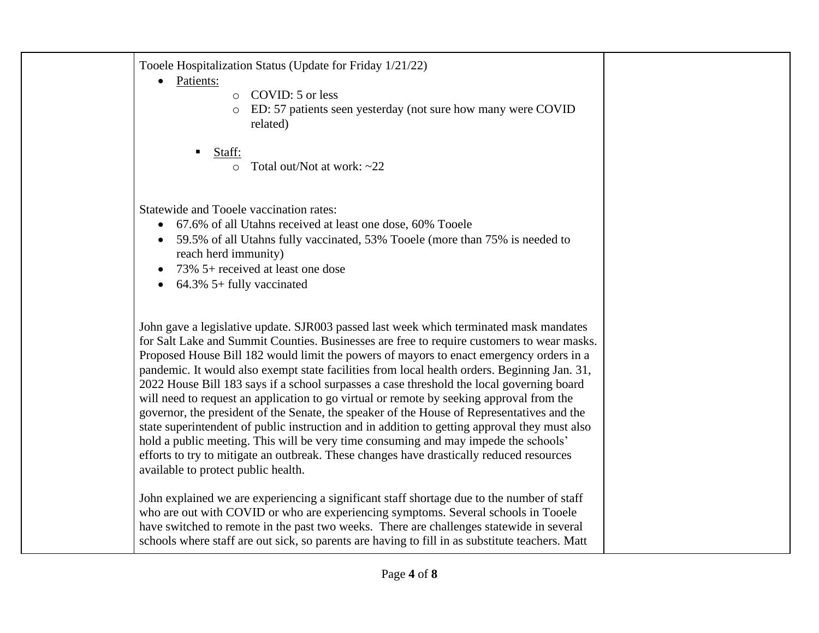Tooele Hospitalization Status (Update for Friday 1/21/22)

- Patients:
- o COVID: 5 or less
- o ED: 57 patients seen yesterday (not sure how many were COVID related)
- Staff:
	- $\circ$  Total out/Not at work: ~22

Statewide and Tooele vaccination rates:

- 67.6% of all Utahns received at least one dose, 60% Tooele
- 59.5% of all Utahns fully vaccinated, 53% Tooele (more than 75% is needed to reach herd immunity)
- 73% 5+ received at least one dose
- 64.3% 5+ fully vaccinated

John gave a legislative update. SJR003 passed last week which terminated mask mandates for Salt Lake and Summit Counties. Businesses are free to require customers to wear masks. Proposed House Bill 182 would limit the powers of mayors to enact emergency orders in a pandemic. It would also exempt state facilities from local health orders. Beginning Jan. 31, 2022 House Bill 183 says if a school surpasses a case threshold the local governing board will need to request an application to go virtual or remote by seeking approval from the governor, the president of the Senate, the speaker of the House of Representatives and the state superintendent of public instruction and in addition to getting approval they must also hold a public meeting. This will be very time consuming and may impede the schools' efforts to try to mitigate an outbreak. These changes have drastically reduced resources available to protect public health.

John explained we are experiencing a significant staff shortage due to the number of staff who are out with COVID or who are experiencing symptoms. Several schools in Tooele have switched to remote in the past two weeks. There are challenges statewide in several schools where staff are out sick, so parents are having to fill in as substitute teachers. Matt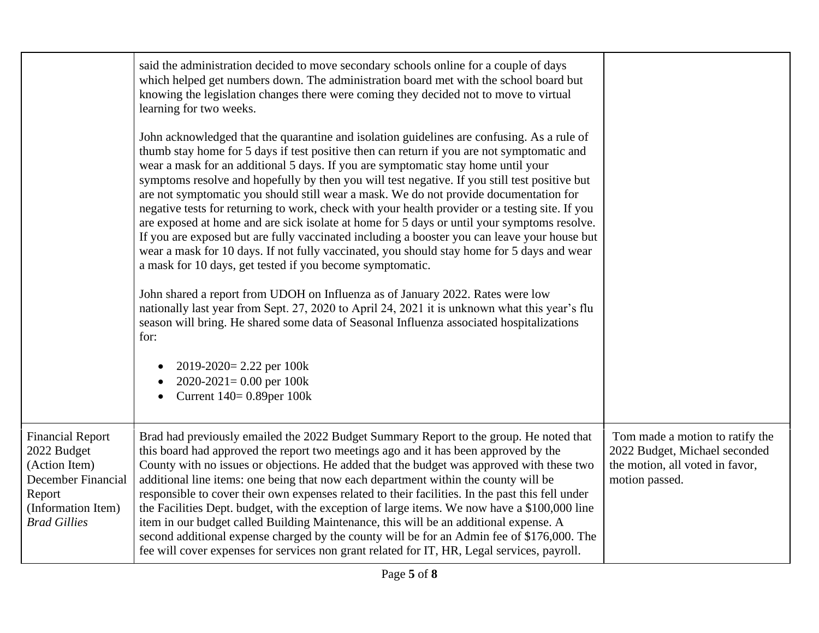|                                                                                                                                      | said the administration decided to move secondary schools online for a couple of days<br>which helped get numbers down. The administration board met with the school board but<br>knowing the legislation changes there were coming they decided not to move to virtual<br>learning for two weeks.<br>John acknowledged that the quarantine and isolation guidelines are confusing. As a rule of<br>thumb stay home for 5 days if test positive then can return if you are not symptomatic and<br>wear a mask for an additional 5 days. If you are symptomatic stay home until your<br>symptoms resolve and hopefully by then you will test negative. If you still test positive but<br>are not symptomatic you should still wear a mask. We do not provide documentation for<br>negative tests for returning to work, check with your health provider or a testing site. If you<br>are exposed at home and are sick isolate at home for 5 days or until your symptoms resolve.<br>If you are exposed but are fully vaccinated including a booster you can leave your house but<br>wear a mask for 10 days. If not fully vaccinated, you should stay home for 5 days and wear<br>a mask for 10 days, get tested if you become symptomatic.<br>John shared a report from UDOH on Influenza as of January 2022. Rates were low<br>nationally last year from Sept. 27, 2020 to April 24, 2021 it is unknown what this year's flu<br>season will bring. He shared some data of Seasonal Influenza associated hospitalizations<br>for:<br>$2019 - 2020 = 2.22$ per 100k<br>$2020-2021=0.00$ per 100k<br>Current 140= 0.89per 100k<br>$\bullet$ |                                                                                                                       |
|--------------------------------------------------------------------------------------------------------------------------------------|-------------------------------------------------------------------------------------------------------------------------------------------------------------------------------------------------------------------------------------------------------------------------------------------------------------------------------------------------------------------------------------------------------------------------------------------------------------------------------------------------------------------------------------------------------------------------------------------------------------------------------------------------------------------------------------------------------------------------------------------------------------------------------------------------------------------------------------------------------------------------------------------------------------------------------------------------------------------------------------------------------------------------------------------------------------------------------------------------------------------------------------------------------------------------------------------------------------------------------------------------------------------------------------------------------------------------------------------------------------------------------------------------------------------------------------------------------------------------------------------------------------------------------------------------------------------------------------------------------------------------------------------|-----------------------------------------------------------------------------------------------------------------------|
| <b>Financial Report</b><br>2022 Budget<br>(Action Item)<br>December Financial<br>Report<br>(Information Item)<br><b>Brad Gillies</b> | Brad had previously emailed the 2022 Budget Summary Report to the group. He noted that<br>this board had approved the report two meetings ago and it has been approved by the<br>County with no issues or objections. He added that the budget was approved with these two<br>additional line items: one being that now each department within the county will be<br>responsible to cover their own expenses related to their facilities. In the past this fell under<br>the Facilities Dept. budget, with the exception of large items. We now have a \$100,000 line<br>item in our budget called Building Maintenance, this will be an additional expense. A<br>second additional expense charged by the county will be for an Admin fee of \$176,000. The<br>fee will cover expenses for services non grant related for IT, HR, Legal services, payroll.                                                                                                                                                                                                                                                                                                                                                                                                                                                                                                                                                                                                                                                                                                                                                                               | Tom made a motion to ratify the<br>2022 Budget, Michael seconded<br>the motion, all voted in favor,<br>motion passed. |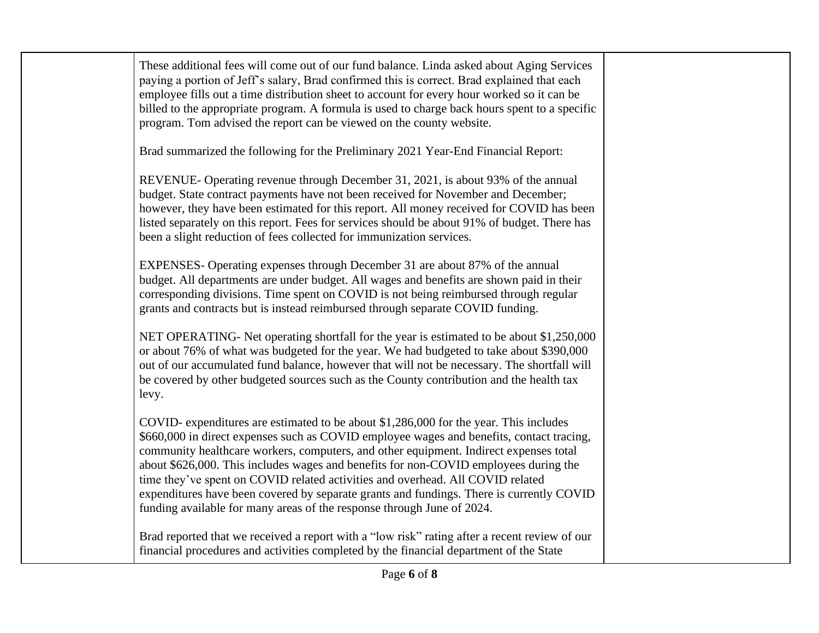These additional fees will come out of our fund balance. Linda asked about Aging Services paying a portion of Jeff's salary, Brad confirmed this is correct. Brad explained that each employee fills out a time distribution sheet to account for every hour worked so it can be billed to the appropriate program. A formula is used to charge back hours spent to a specific program. Tom advised the report can be viewed on the county website.

Brad summarized the following for the Preliminary 2021 Year-End Financial Report:

REVENUE- Operating revenue through December 31, 2021, is about 93% of the annual budget. State contract payments have not been received for November and December; however, they have been estimated for this report. All money received for COVID has been listed separately on this report. Fees for services should be about 91% of budget. There has been a slight reduction of fees collected for immunization services.

EXPENSES- Operating expenses through December 31 are about 87% of the annual budget. All departments are under budget. All wages and benefits are shown paid in their corresponding divisions. Time spent on COVID is not being reimbursed through regular grants and contracts but is instead reimbursed through separate COVID funding.

NET OPERATING- Net operating shortfall for the year is estimated to be about \$1,250,000 or about 76% of what was budgeted for the year. We had budgeted to take about \$390,000 out of our accumulated fund balance, however that will not be necessary. The shortfall will be covered by other budgeted sources such as the County contribution and the health tax levy.

COVID- expenditures are estimated to be about \$1,286,000 for the year. This includes \$660,000 in direct expenses such as COVID employee wages and benefits, contact tracing, community healthcare workers, computers, and other equipment. Indirect expenses total about \$626,000. This includes wages and benefits for non-COVID employees during the time they've spent on COVID related activities and overhead. All COVID related expenditures have been covered by separate grants and fundings. There is currently COVID funding available for many areas of the response through June of 2024.

Brad reported that we received a report with a "low risk" rating after a recent review of our financial procedures and activities completed by the financial department of the State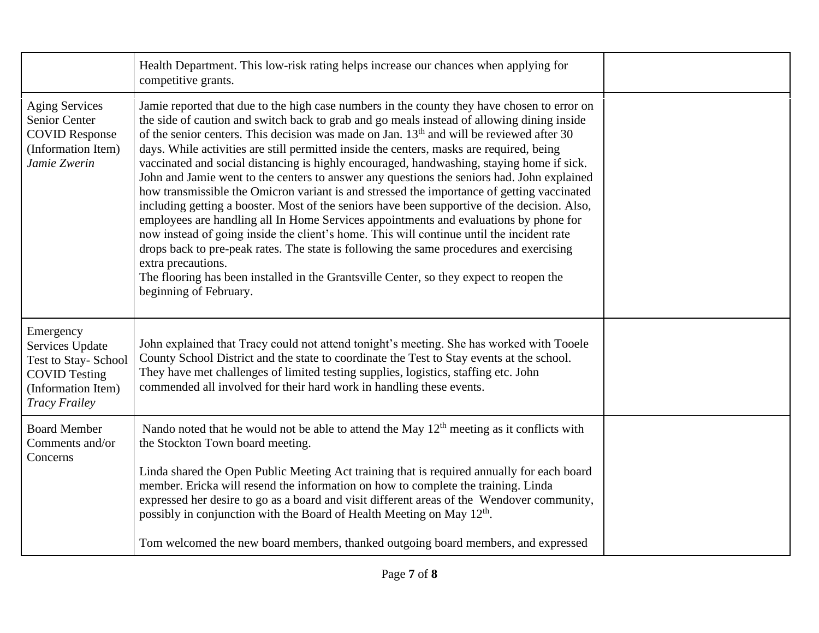|                                                                                                                           | Health Department. This low-risk rating helps increase our chances when applying for<br>competitive grants.                                                                                                                                                                                                                                                                                                                                                                                                                                                                                                                                                                                                                                                                                                                                                                                                                                                                                                                                                                                                                                                                                                        |  |
|---------------------------------------------------------------------------------------------------------------------------|--------------------------------------------------------------------------------------------------------------------------------------------------------------------------------------------------------------------------------------------------------------------------------------------------------------------------------------------------------------------------------------------------------------------------------------------------------------------------------------------------------------------------------------------------------------------------------------------------------------------------------------------------------------------------------------------------------------------------------------------------------------------------------------------------------------------------------------------------------------------------------------------------------------------------------------------------------------------------------------------------------------------------------------------------------------------------------------------------------------------------------------------------------------------------------------------------------------------|--|
| <b>Aging Services</b><br><b>Senior Center</b><br><b>COVID Response</b><br>(Information Item)<br>Jamie Zwerin              | Jamie reported that due to the high case numbers in the county they have chosen to error on<br>the side of caution and switch back to grab and go meals instead of allowing dining inside<br>of the senior centers. This decision was made on Jan. 13 <sup>th</sup> and will be reviewed after 30<br>days. While activities are still permitted inside the centers, masks are required, being<br>vaccinated and social distancing is highly encouraged, handwashing, staying home if sick.<br>John and Jamie went to the centers to answer any questions the seniors had. John explained<br>how transmissible the Omicron variant is and stressed the importance of getting vaccinated<br>including getting a booster. Most of the seniors have been supportive of the decision. Also,<br>employees are handling all In Home Services appointments and evaluations by phone for<br>now instead of going inside the client's home. This will continue until the incident rate<br>drops back to pre-peak rates. The state is following the same procedures and exercising<br>extra precautions.<br>The flooring has been installed in the Grantsville Center, so they expect to reopen the<br>beginning of February. |  |
| Emergency<br>Services Update<br>Test to Stay-School<br><b>COVID Testing</b><br>(Information Item)<br><b>Tracy Frailey</b> | John explained that Tracy could not attend tonight's meeting. She has worked with Tooele<br>County School District and the state to coordinate the Test to Stay events at the school.<br>They have met challenges of limited testing supplies, logistics, staffing etc. John<br>commended all involved for their hard work in handling these events.                                                                                                                                                                                                                                                                                                                                                                                                                                                                                                                                                                                                                                                                                                                                                                                                                                                               |  |
| <b>Board Member</b><br>Comments and/or<br>Concerns                                                                        | Nando noted that he would not be able to attend the May $12th$ meeting as it conflicts with<br>the Stockton Town board meeting.<br>Linda shared the Open Public Meeting Act training that is required annually for each board<br>member. Ericka will resend the information on how to complete the training. Linda<br>expressed her desire to go as a board and visit different areas of the Wendover community,<br>possibly in conjunction with the Board of Health Meeting on May 12 <sup>th</sup> .                                                                                                                                                                                                                                                                                                                                                                                                                                                                                                                                                                                                                                                                                                             |  |
|                                                                                                                           | Tom welcomed the new board members, thanked outgoing board members, and expressed                                                                                                                                                                                                                                                                                                                                                                                                                                                                                                                                                                                                                                                                                                                                                                                                                                                                                                                                                                                                                                                                                                                                  |  |